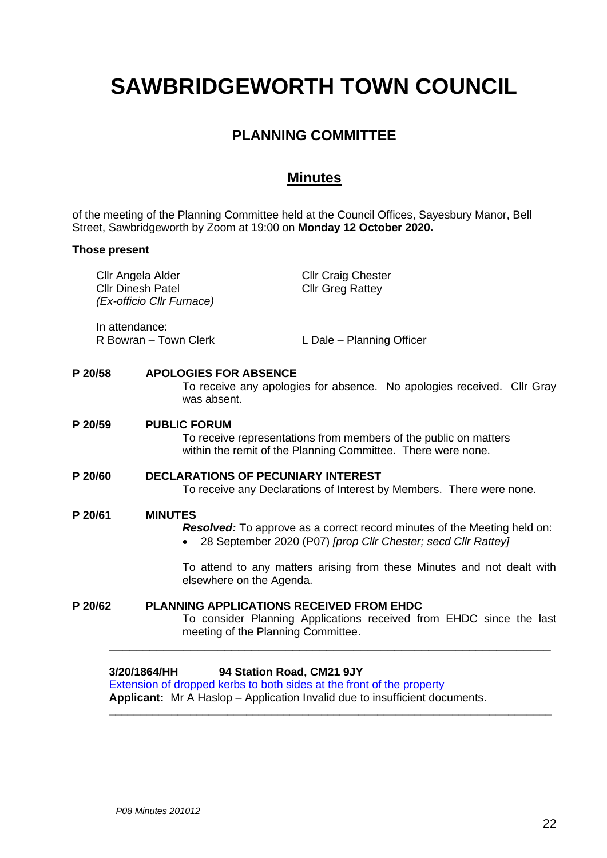# **SAWBRIDGEWORTH TOWN COUNCIL**

# **PLANNING COMMITTEE**

## **Minutes**

of the meeting of the Planning Committee held at the Council Offices, Sayesbury Manor, Bell Street, Sawbridgeworth by Zoom at 19:00 on **Monday 12 October 2020.**

#### **Those present**

|         | 3/20/1864/HH                                                               | 94 Station Road, CM21 9JY                                                                                                                                    |
|---------|----------------------------------------------------------------------------|--------------------------------------------------------------------------------------------------------------------------------------------------------------|
| P 20/62 |                                                                            | <b>PLANNING APPLICATIONS RECEIVED FROM EHDC</b><br>To consider Planning Applications received from EHDC since the last<br>meeting of the Planning Committee. |
|         |                                                                            | To attend to any matters arising from these Minutes and not dealt with<br>elsewhere on the Agenda.                                                           |
| P 20/61 | <b>MINUTES</b>                                                             | <b>Resolved:</b> To approve as a correct record minutes of the Meeting held on:<br>28 September 2020 (P07) [prop Cllr Chester; secd Cllr Rattey]             |
| P 20/60 |                                                                            | <b>DECLARATIONS OF PECUNIARY INTEREST</b><br>To receive any Declarations of Interest by Members. There were none.                                            |
| P 20/59 |                                                                            | <b>PUBLIC FORUM</b><br>To receive representations from members of the public on matters<br>within the remit of the Planning Committee. There were none.      |
| P 20/58 |                                                                            | <b>APOLOGIES FOR ABSENCE</b><br>To receive any apologies for absence. No apologies received. Cllr Gray<br>was absent.                                        |
|         | In attendance:<br>R Bowran - Town Clerk                                    | L Dale - Planning Officer                                                                                                                                    |
|         | Cllr Angela Alder<br><b>Cllr Dinesh Patel</b><br>(Ex-officio Cllr Furnace) | <b>Cllr Craig Chester</b><br><b>Cllr Greg Rattey</b>                                                                                                         |

[Extension of dropped kerbs to both sides at the front of the property](https://publicaccess.eastherts.gov.uk/online-applications/applicationDetails.do?activeTab=documents&keyVal=QHDJ3DGLIPD00) **Applicant:** Mr A Haslop – Application Invalid due to insufficient documents.

**\_\_\_\_\_\_\_\_\_\_\_\_\_\_\_\_\_\_\_\_\_\_\_\_\_\_\_\_\_\_\_\_\_\_\_\_\_\_\_\_\_\_\_\_\_\_\_\_\_\_\_\_\_\_\_\_\_\_\_\_\_\_\_\_\_\_\_\_\_\_\_**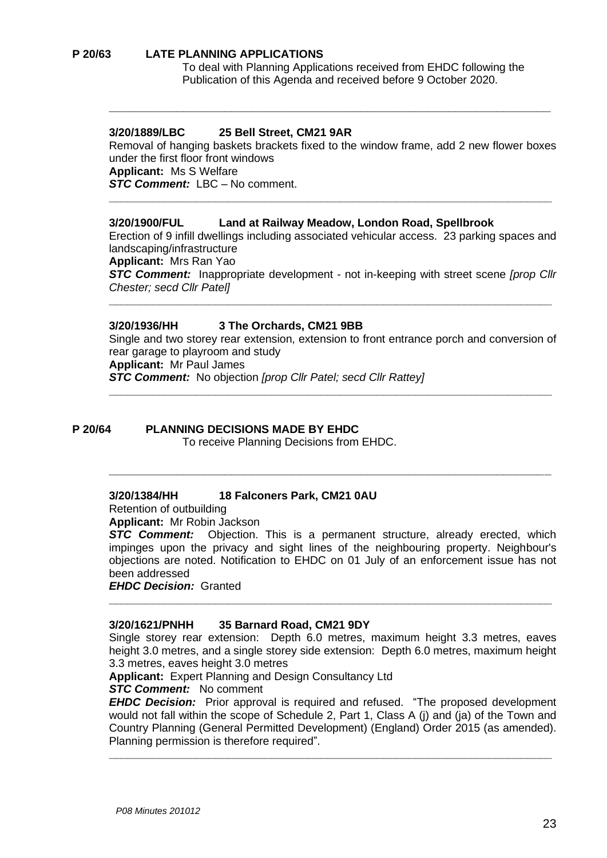#### **P 20/63 LATE PLANNING APPLICATIONS**

To deal with Planning Applications received from EHDC following the Publication of this Agenda and received before 9 October 2020.

#### **3/20/1889/LBC 25 Bell Street, CM21 9AR**

Removal of hanging baskets brackets fixed to the window frame, add 2 new flower boxes under the first floor front windows **Applicant:** Ms S Welfare *STC Comment:* LBC – No comment.

**\_\_\_\_\_\_\_\_\_\_\_\_\_\_\_\_\_\_\_\_\_\_\_\_\_\_\_\_\_\_\_\_\_\_\_\_\_\_\_\_\_\_\_\_\_\_\_\_\_\_\_\_\_\_\_\_\_\_\_\_\_\_\_\_\_\_\_\_\_\_\_**

**\_\_\_\_\_\_\_\_\_\_\_\_\_\_\_\_\_\_\_\_\_\_\_\_\_\_\_\_\_\_\_\_\_\_\_\_\_\_\_\_\_\_\_\_\_\_\_\_\_\_\_\_\_\_\_\_\_\_\_\_\_\_\_\_\_**

#### **3/20/1900/FUL Land at Railway Meadow, London Road, Spellbrook**

Erection of 9 infill dwellings including associated vehicular access. 23 parking spaces and landscaping/infrastructure

**Applicant:** Mrs Ran Yao

*STC Comment:* Inappropriate development - not in-keeping with street scene *[prop Cllr Chester; secd Cllr Patel]*

**\_\_\_\_\_\_\_\_\_\_\_\_\_\_\_\_\_\_\_\_\_\_\_\_\_\_\_\_\_\_\_\_\_\_\_\_\_\_\_\_\_\_\_\_\_\_\_\_\_\_\_\_\_\_\_\_\_\_\_\_\_\_\_\_\_\_\_\_\_\_\_**

#### **3/20/1936/HH 3 The Orchards, CM21 9BB**

Single and two storey rear extension, extension to front entrance porch and conversion of rear garage to playroom and study **Applicant:** Mr Paul James *STC Comment:* No objection *[prop Cllr Patel; secd Cllr Rattey]*

**\_\_\_\_\_\_\_\_\_\_\_\_\_\_\_\_\_\_\_\_\_\_\_\_\_\_\_\_\_\_\_\_\_\_\_\_\_\_\_\_\_\_\_\_\_\_\_\_\_\_\_\_\_\_\_\_\_\_\_\_\_\_\_\_\_\_\_\_\_\_\_**

**\_\_\_\_\_\_\_\_\_\_\_\_\_\_\_\_\_\_\_\_\_\_\_\_\_\_\_\_\_\_\_\_\_\_\_\_\_\_\_\_\_\_\_\_\_\_\_\_\_\_\_\_\_\_\_\_\_\_\_\_\_\_\_\_\_**

#### **P 20/64 PLANNING DECISIONS MADE BY EHDC**

To receive Planning Decisions from EHDC.

#### **3/20/1384/HH 18 Falconers Park, CM21 0AU**

Retention of outbuilding

**Applicant:** Mr Robin Jackson

**STC Comment:** Objection. This is a permanent structure, already erected, which impinges upon the privacy and sight lines of the neighbouring property. Neighbour's objections are noted. Notification to EHDC on 01 July of an enforcement issue has not been addressed

**\_\_\_\_\_\_\_\_\_\_\_\_\_\_\_\_\_\_\_\_\_\_\_\_\_\_\_\_\_\_\_\_\_\_\_\_\_\_\_\_\_\_\_\_\_\_\_\_\_\_\_\_\_\_\_\_\_\_\_\_\_\_\_\_\_\_\_\_\_\_\_**

*EHDC Decision:* Granted

#### **3/20/1621/PNHH 35 Barnard Road, CM21 9DY**

Single storey rear extension: Depth 6.0 metres, maximum height 3.3 metres, eaves height 3.0 metres, and a single storey side extension: Depth 6.0 metres, maximum height 3.3 metres, eaves height 3.0 metres

**Applicant:** Expert Planning and Design Consultancy Ltd

#### *STC Comment:* No comment

*EHDC Decision:* Prior approval is required and refused. "The proposed development would not fall within the scope of Schedule 2, Part 1, Class A (j) and (ja) of the Town and Country Planning (General Permitted Development) (England) Order 2015 (as amended). Planning permission is therefore required".

**\_\_\_\_\_\_\_\_\_\_\_\_\_\_\_\_\_\_\_\_\_\_\_\_\_\_\_\_\_\_\_\_\_\_\_\_\_\_\_\_\_\_\_\_\_\_\_\_\_\_\_\_\_\_\_\_\_\_\_\_\_\_\_\_\_\_\_\_\_\_\_**